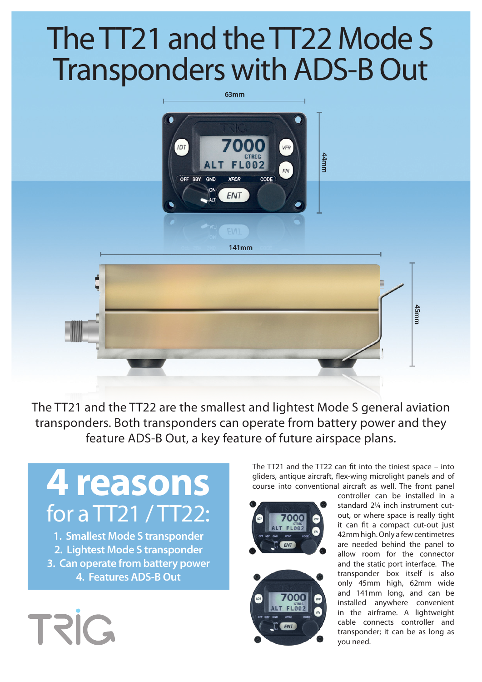## The TT21 and the TT22 Mode S Transponders with ADS-B Out

63mm

**YPDE** 

**ENT** 

002

CODE

IDT

CND

**CIA**  $141mm$ 45mm

The TT21 and the TT22 are the smallest and lightest Mode S general aviation transponders. Both transponders can operate from battery power and they feature ADS-B Out, a key feature of future airspace plans.

## **4 reasons** for a TT21 / TT22:

**1. Smallest Mode S transponder 2. Lightest Mode S transponder 3. Can operate from battery power 4. Features ADS-B Out**



The TT21 and the TT22 can fit into the tiniest space – into gliders, antique aircraft, flex-wing microlight panels and of course into conventional aircraft as well. The front panel

44mm



controller can be installed in a standard 2¼ inch instrument cutout, or where space is really tight it can fit a compact cut-out just 42mm high. Only a few centimetres are needed behind the panel to allow room for the connector and the static port interface. The transponder box itself is also only 45mm high, 62mm wide and 141mm long, and can be installed anywhere convenient in the airframe. A lightweight cable connects controller and transponder; it can be as long as you need.